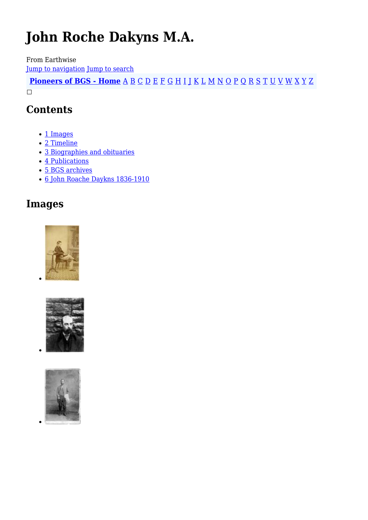# **John Roche Dakyns M.A.**

From Earthwise [Jump to navigation](#page--1-0) [Jump to search](#page--1-0)

**[Pioneers of BGS - Home](http://earthwise.bgs.ac.uk/index.php/Pioneers_of_the_British_Geological_Survey)** [A](http://earthwise.bgs.ac.uk/index.php/Pioneers_of_the_British_Geological_Survey#A) [B](http://earthwise.bgs.ac.uk/index.php/Pioneers_of_the_British_Geological_Survey#B) [C](http://earthwise.bgs.ac.uk/index.php/Pioneers_of_the_British_Geological_Survey#C) [D](http://earthwise.bgs.ac.uk/index.php/Pioneers_of_the_British_Geological_Survey#D) [E](http://earthwise.bgs.ac.uk/index.php/Pioneers_of_the_British_Geological_Survey#E) [F](http://earthwise.bgs.ac.uk/index.php/Pioneers_of_the_British_Geological_Survey#F) [G](http://earthwise.bgs.ac.uk/index.php/Pioneers_of_the_British_Geological_Survey#G) [H](http://earthwise.bgs.ac.uk/index.php/Pioneers_of_the_British_Geological_Survey#H) [I](http://earthwise.bgs.ac.uk/index.php/Pioneers_of_the_British_Geological_Survey#I) [J](http://earthwise.bgs.ac.uk/index.php/Pioneers_of_the_British_Geological_Survey#J) [K](http://earthwise.bgs.ac.uk/index.php/Pioneers_of_the_British_Geological_Survey#K) [L](http://earthwise.bgs.ac.uk/index.php/Pioneers_of_the_British_Geological_Survey#L) [M](http://earthwise.bgs.ac.uk/index.php/Pioneers_of_the_British_Geological_Survey#M) [N](http://earthwise.bgs.ac.uk/index.php/Pioneers_of_the_British_Geological_Survey#N) [O](http://earthwise.bgs.ac.uk/index.php/Pioneers_of_the_British_Geological_Survey#O) [P](http://earthwise.bgs.ac.uk/index.php/Pioneers_of_the_British_Geological_Survey#P) [Q](http://earthwise.bgs.ac.uk/index.php/Pioneers_of_the_British_Geological_Survey#Q) [R](http://earthwise.bgs.ac.uk/index.php/Pioneers_of_the_British_Geological_Survey#R) [S](http://earthwise.bgs.ac.uk/index.php/Pioneers_of_the_British_Geological_Survey#S) [T](http://earthwise.bgs.ac.uk/index.php/Pioneers_of_the_British_Geological_Survey#T) [U](http://earthwise.bgs.ac.uk/index.php/Pioneers_of_the_British_Geological_Survey#U) [V](http://earthwise.bgs.ac.uk/index.php/Pioneers_of_the_British_Geological_Survey#V) [W](http://earthwise.bgs.ac.uk/index.php/Pioneers_of_the_British_Geological_Survey#W) [X](http://earthwise.bgs.ac.uk/index.php/Pioneers_of_the_British_Geological_Survey#X) [Y](http://earthwise.bgs.ac.uk/index.php/Pioneers_of_the_British_Geological_Survey#Y) [Z](http://earthwise.bgs.ac.uk/index.php/Pioneers_of_the_British_Geological_Survey#Z)  $\Box$ 

## **Contents**

- [1](#page--1-0) [Images](#page--1-0)
- [2](#page--1-0) [Timeline](#page--1-0)
- [3](#page--1-0) [Biographies and obituaries](#page--1-0)
- [4](#page--1-0) [Publications](#page--1-0)
- [5](#page--1-0) [BGS archives](#page--1-0)
- [6](#page--1-0) [John Roache Daykns 1836-1910](#page--1-0)

## **Images**





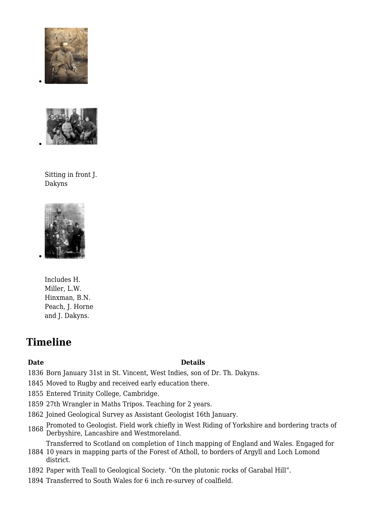



Sitting in front J. Dakyns



Includes H. Miller, L.W. Hinxman, B.N. Peach, J. Horne and J. Dakyns.

## **Timeline**

#### **Date Details**

- 1836 Born January 31st in St. Vincent, West Indies, son of Dr. Th. Dakyns.
- 1845 Moved to Rugby and received early education there.
- 1855 Entered Trinity College, Cambridge.
- 1859 27th Wrangler in Maths Tripos. Teaching for 2 years.
- 1862 Joined Geological Survey as Assistant Geologist 16th January.
- <sup>1868</sup> Promoted to Geologist. Field work chiefly in West Riding of Yorkshire and bordering tracts of Derbyshire, Lancashire and Westmoreland.

Transferred to Scotland on completion of 1inch mapping of England and Wales. Engaged for

- 1884 10 years in mapping parts of the Forest of Atholl, to borders of Argyll and Loch Lomond district.
- 1892 Paper with Teall to Geological Society. "On the plutonic rocks of Garabal Hill".
- 1894 Transferred to South Wales for 6 inch re-survey of coalfield.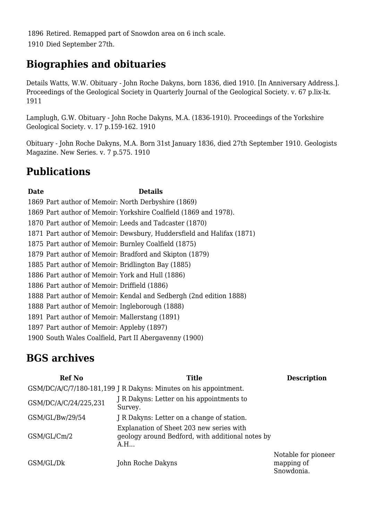1896 Retired. Remapped part of Snowdon area on 6 inch scale. 1910 Died September 27th.

## **Biographies and obituaries**

Details Watts, W.W. Obituary - John Roche Dakyns, born 1836, died 1910. [In Anniversary Address.]. Proceedings of the Geological Society in Quarterly Journal of the Geological Society. v. 67 p.lix-lx. 1911

Lamplugh, G.W. Obituary - John Roche Dakyns, M.A. (1836-1910). Proceedings of the Yorkshire Geological Society. v. 17 p.159-162. 1910

Obituary - John Roche Dakyns, M.A. Born 31st January 1836, died 27th September 1910. Geologists Magazine. New Series. v. 7 p.575. 1910

## **Publications**

#### **Date Details**

 Part author of Memoir: North Derbyshire (1869) Part author of Memoir: Yorkshire Coalfield (1869 and 1978). Part author of Memoir: Leeds and Tadcaster (1870) Part author of Memoir: Dewsbury, Huddersfield and Halifax (1871) Part author of Memoir: Burnley Coalfield (1875) Part author of Memoir: Bradford and Skipton (1879) Part author of Memoir: Bridlington Bay (1885) Part author of Memoir: York and Hull (1886) Part author of Memoir: Driffield (1886) Part author of Memoir: Kendal and Sedbergh (2nd edition 1888) Part author of Memoir: Ingleborough (1888) Part author of Memoir: Mallerstang (1891) Part author of Memoir: Appleby (1897) South Wales Coalfield, Part II Abergavenny (1900)

## **BGS archives**

| <b>Ref No</b>                                                    | <b>Title</b>                                                                                        | <b>Description</b>                              |
|------------------------------------------------------------------|-----------------------------------------------------------------------------------------------------|-------------------------------------------------|
| GSM/DC/A/C/7/180-181,199 J R Dakyns: Minutes on his appointment. |                                                                                                     |                                                 |
| GSM/DC/A/C/24/225,231                                            | J R Dakyns: Letter on his appointments to<br>Survey.                                                |                                                 |
| GSM/GL/Bw/29/54                                                  | J R Dakyns: Letter on a change of station.                                                          |                                                 |
| GSM/GL/Cm/2                                                      | Explanation of Sheet 203 new series with<br>geology around Bedford, with additional notes by<br>A.H |                                                 |
| GSM/GL/Dk                                                        | John Roche Dakyns                                                                                   | Notable for pioneer<br>mapping of<br>Snowdonia. |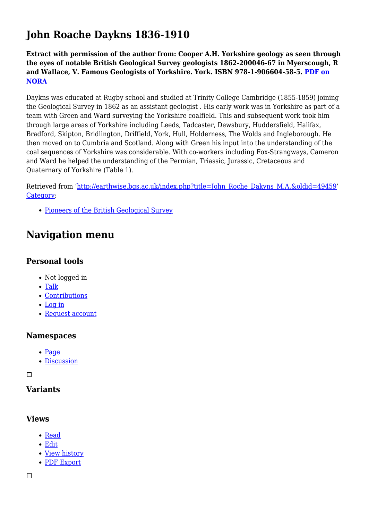## **John Roache Daykns 1836-1910**

**Extract with permission of the author from: Cooper A.H. Yorkshire geology as seen through the eyes of notable British Geological Survey geologists 1862-200046-67 in Myerscough, R and Wallace, V. Famous Geologists of Yorkshire. York. ISBN 978-1-906604-58-5. [PDF on](http://nora.nerc.ac.uk/id/eprint/514376/1/Cooper%202016%20Yorkshire%20geology%20by%20notable%20British%20Geological%20Survey%20geologists%20NORA.pdf) [NORA](http://nora.nerc.ac.uk/id/eprint/514376/1/Cooper%202016%20Yorkshire%20geology%20by%20notable%20British%20Geological%20Survey%20geologists%20NORA.pdf)**

Daykns was educated at Rugby school and studied at Trinity College Cambridge (1855-1859) joining the Geological Survey in 1862 as an assistant geologist . His early work was in Yorkshire as part of a team with Green and Ward surveying the Yorkshire coalfield. This and subsequent work took him through large areas of Yorkshire including Leeds, Tadcaster, Dewsbury, Huddersfield, Halifax, Bradford, Skipton, Bridlington, Driffield, York, Hull, Holderness, The Wolds and Ingleborough. He then moved on to Cumbria and Scotland. Along with Green his input into the understanding of the coal sequences of Yorkshire was considerable. With co-workers including Fox-Strangways, Cameron and Ward he helped the understanding of the Permian, Triassic, Jurassic, Cretaceous and Quaternary of Yorkshire (Table 1).

Retrieved from ['http://earthwise.bgs.ac.uk/index.php?title=John\\_Roche\\_Dakyns\\_M.A.&oldid=49459'](http://earthwise.bgs.ac.uk/index.php?title=John_Roche_Dakyns_M.A.&oldid=49459) [Category](http://earthwise.bgs.ac.uk/index.php/Special:Categories):

• [Pioneers of the British Geological Survey](http://earthwise.bgs.ac.uk/index.php/Category:Pioneers_of_the_British_Geological_Survey)

## **Navigation menu**

### **Personal tools**

- Not logged in
- [Talk](http://earthwise.bgs.ac.uk/index.php/Special:MyTalk)
- [Contributions](http://earthwise.bgs.ac.uk/index.php/Special:MyContributions)
- [Log in](http://earthwise.bgs.ac.uk/index.php?title=Special:UserLogin&returnto=John+Roche+Dakyns+M.A.&returntoquery=action%3Dmpdf)
- [Request account](http://earthwise.bgs.ac.uk/index.php/Special:RequestAccount)

#### **Namespaces**

- [Page](http://earthwise.bgs.ac.uk/index.php/John_Roche_Dakyns_M.A.)
- [Discussion](http://earthwise.bgs.ac.uk/index.php?title=Talk:John_Roche_Dakyns_M.A.&action=edit&redlink=1)

 $\Box$ 

## **Variants**

#### **Views**

- [Read](http://earthwise.bgs.ac.uk/index.php/John_Roche_Dakyns_M.A.)
- [Edit](http://earthwise.bgs.ac.uk/index.php?title=John_Roche_Dakyns_M.A.&action=edit)
- [View history](http://earthwise.bgs.ac.uk/index.php?title=John_Roche_Dakyns_M.A.&action=history)
- [PDF Export](http://earthwise.bgs.ac.uk/index.php?title=John_Roche_Dakyns_M.A.&action=mpdf)

 $\Box$